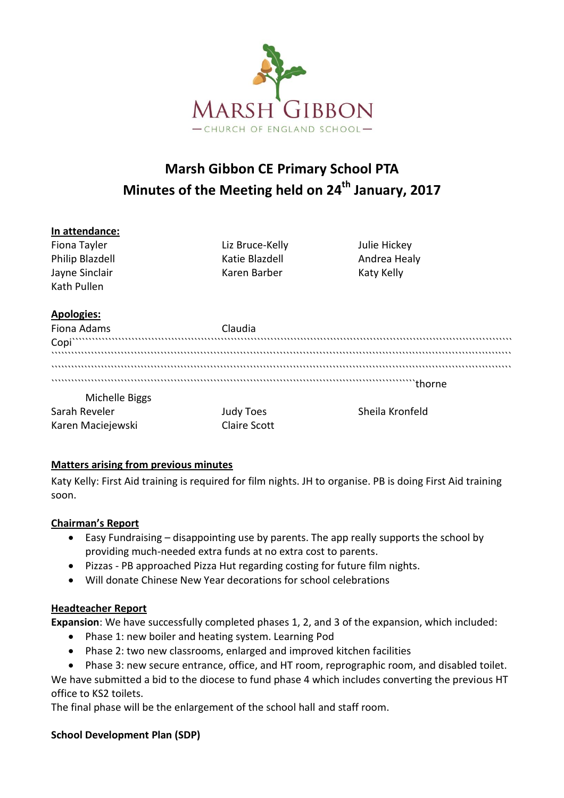

# **Marsh Gibbon CE Primary School PTA Minutes of the Meeting held on 24th January, 2017**

## **In attendance:** Fiona Tayler Liz Bruce-Kelly Julie Hickey Philip Blazdell **Katie Blazdell** Andrea Healy Jayne Sinclair **Karen Barber** Karen Barber Katy Kelly Kath Pullen **Apologies:** Fiona Adams Claudia<br>Copi Claudia Copi Copi````````````````````````````````````````````````````````````````````````````````````````````````````````````````````````````````````` ``````````````````````````````````````````````````````````````````````````````````````````````````````````````````````````````````````````` ``````````````````````````````````````````````````````````````````````````````````````````````````````````````````````````````````````````` ``````````````````````````````````````````````````````````````````````````````````````````````````````````````thorne Michelle Biggs Sarah Reveler Judy Toes Sheila Kronfeld Karen Maciejewski **Claire Scott**

## **Matters arising from previous minutes**

Katy Kelly: First Aid training is required for film nights. JH to organise. PB is doing First Aid training soon.

#### **Chairman's Report**

- Easy Fundraising disappointing use by parents. The app really supports the school by providing much-needed extra funds at no extra cost to parents.
- Pizzas PB approached Pizza Hut regarding costing for future film nights.
- Will donate Chinese New Year decorations for school celebrations

#### **Headteacher Report**

**Expansion**: We have successfully completed phases 1, 2, and 3 of the expansion, which included:

- Phase 1: new boiler and heating system. Learning Pod
- Phase 2: two new classrooms, enlarged and improved kitchen facilities

 Phase 3: new secure entrance, office, and HT room, reprographic room, and disabled toilet. We have submitted a bid to the diocese to fund phase 4 which includes converting the previous HT office to KS2 toilets.

The final phase will be the enlargement of the school hall and staff room.

## **School Development Plan (SDP)**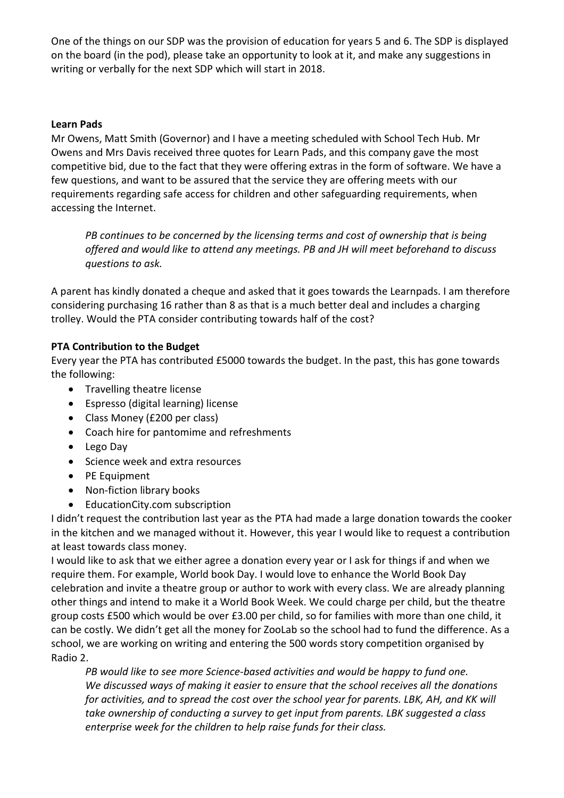One of the things on our SDP was the provision of education for years 5 and 6. The SDP is displayed on the board (in the pod), please take an opportunity to look at it, and make any suggestions in writing or verbally for the next SDP which will start in 2018.

## **Learn Pads**

Mr Owens, Matt Smith (Governor) and I have a meeting scheduled with School Tech Hub. Mr Owens and Mrs Davis received three quotes for Learn Pads, and this company gave the most competitive bid, due to the fact that they were offering extras in the form of software. We have a few questions, and want to be assured that the service they are offering meets with our requirements regarding safe access for children and other safeguarding requirements, when accessing the Internet.

*PB continues to be concerned by the licensing terms and cost of ownership that is being offered and would like to attend any meetings. PB and JH will meet beforehand to discuss questions to ask.* 

A parent has kindly donated a cheque and asked that it goes towards the Learnpads. I am therefore considering purchasing 16 rather than 8 as that is a much better deal and includes a charging trolley. Would the PTA consider contributing towards half of the cost?

## **PTA Contribution to the Budget**

Every year the PTA has contributed £5000 towards the budget. In the past, this has gone towards the following:

- Travelling theatre license
- Espresso (digital learning) license
- Class Money (£200 per class)
- Coach hire for pantomime and refreshments
- Lego Day
- Science week and extra resources
- PE Equipment
- Non-fiction library books
- EducationCity.com subscription

I didn't request the contribution last year as the PTA had made a large donation towards the cooker in the kitchen and we managed without it. However, this year I would like to request a contribution at least towards class money.

I would like to ask that we either agree a donation every year or I ask for things if and when we require them. For example, World book Day. I would love to enhance the World Book Day celebration and invite a theatre group or author to work with every class. We are already planning other things and intend to make it a World Book Week. We could charge per child, but the theatre group costs £500 which would be over £3.00 per child, so for families with more than one child, it can be costly. We didn't get all the money for ZooLab so the school had to fund the difference. As a school, we are working on writing and entering the 500 words story competition organised by Radio 2.

*PB would like to see more Science-based activities and would be happy to fund one. We discussed ways of making it easier to ensure that the school receives all the donations for activities, and to spread the cost over the school year for parents. LBK, AH, and KK will take ownership of conducting a survey to get input from parents. LBK suggested a class enterprise week for the children to help raise funds for their class.*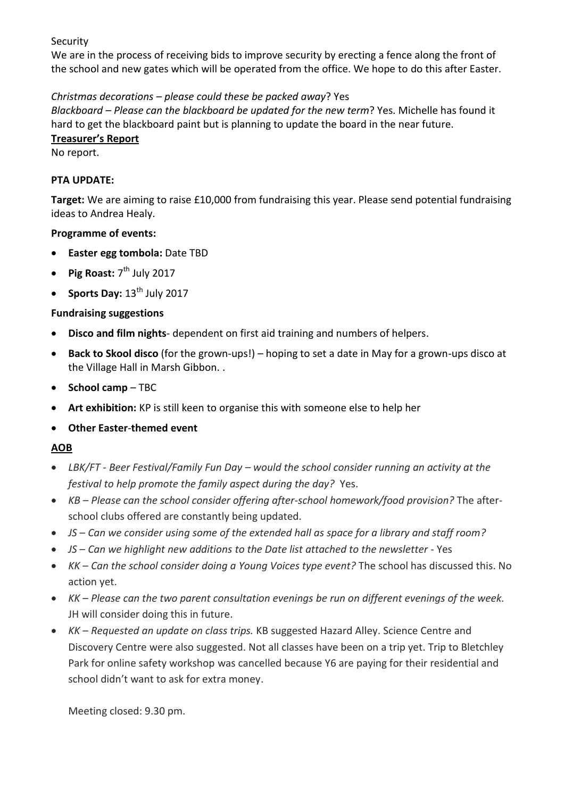Security

We are in the process of receiving bids to improve security by erecting a fence along the front of the school and new gates which will be operated from the office. We hope to do this after Easter.

## *Christmas decorations – please could these be packed away*? Yes

*Blackboard – Please can the blackboard be updated for the new term*? Yes. Michelle has found it hard to get the blackboard paint but is planning to update the board in the near future.

### **Treasurer's Report**

No report.

### **PTA UPDATE:**

**Target:** We are aiming to raise £10,000 from fundraising this year. Please send potential fundraising ideas to Andrea Healy.

## **Programme of events:**

- **Easter egg tombola:** Date TBD
- Pig Roast: 7<sup>th</sup> July 2017
- **Sports Day:** 13<sup>th</sup> July 2017

## **Fundraising suggestions**

- **Disco and film nights** dependent on first aid training and numbers of helpers.
- **Back to Skool disco** (for the grown-ups!) hoping to set a date in May for a grown-ups disco at the Village Hall in Marsh Gibbon. .
- **•** School camp TBC
- **Art exhibition:** KP is still keen to organise this with someone else to help her
- **Other Easter**-**themed event**

## **AOB**

- *LBK/FT - Beer Festival/Family Fun Day – would the school consider running an activity at the festival to help promote the family aspect during the day?* Yes.
- *KB Please can the school consider offering after-school homework/food provision?* The afterschool clubs offered are constantly being updated.
- *JS Can we consider using some of the extended hall as space for a library and staff room?*
- *JS Can we highlight new additions to the Date list attached to the newsletter* Yes
- *KK Can the school consider doing a Young Voices type event?* The school has discussed this. No action yet.
- *KK Please can the two parent consultation evenings be run on different evenings of the week.* JH will consider doing this in future.
- *KK Requested an update on class trips.* KB suggested Hazard Alley. Science Centre and Discovery Centre were also suggested. Not all classes have been on a trip yet. Trip to Bletchley Park for online safety workshop was cancelled because Y6 are paying for their residential and school didn't want to ask for extra money.

Meeting closed: 9.30 pm.